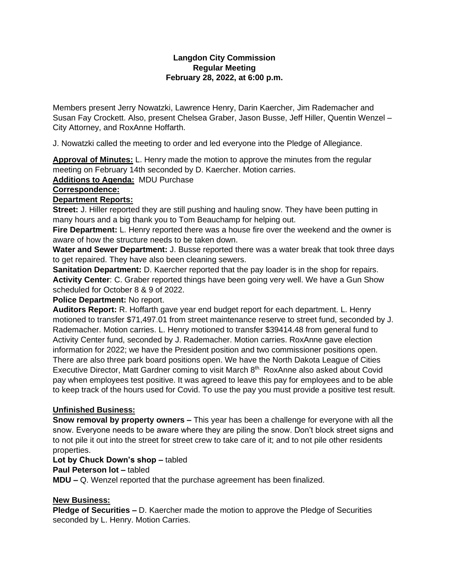### **Langdon City Commission Regular Meeting February 28, 2022, at 6:00 p.m.**

Members present Jerry Nowatzki, Lawrence Henry, Darin Kaercher, Jim Rademacher and Susan Fay Crockett. Also, present Chelsea Graber, Jason Busse, Jeff Hiller, Quentin Wenzel – City Attorney, and RoxAnne Hoffarth.

J. Nowatzki called the meeting to order and led everyone into the Pledge of Allegiance.

**Approval of Minutes:** L. Henry made the motion to approve the minutes from the regular meeting on February 14th seconded by D. Kaercher. Motion carries.

**Additions to Agenda:** MDU Purchase

## **Correspondence:**

# **Department Reports:**

**Street:** J. Hiller reported they are still pushing and hauling snow. They have been putting in many hours and a big thank you to Tom Beauchamp for helping out.

**Fire Department:** L. Henry reported there was a house fire over the weekend and the owner is aware of how the structure needs to be taken down.

**Water and Sewer Department:** J. Busse reported there was a water break that took three days to get repaired. They have also been cleaning sewers.

**Sanitation Department:** D. Kaercher reported that the pay loader is in the shop for repairs. **Activity Center**: C. Graber reported things have been going very well. We have a Gun Show scheduled for October 8 & 9 of 2022.

**Police Department:** No report.

**Auditors Report:** R. Hoffarth gave year end budget report for each department. L. Henry motioned to transfer \$71,497.01 from street maintenance reserve to street fund, seconded by J. Rademacher. Motion carries. L. Henry motioned to transfer \$39414.48 from general fund to Activity Center fund, seconded by J. Rademacher. Motion carries. RoxAnne gave election information for 2022; we have the President position and two commissioner positions open. There are also three park board positions open. We have the North Dakota League of Cities Executive Director, Matt Gardner coming to visit March 8<sup>th.</sup> RoxAnne also asked about Covid pay when employees test positive. It was agreed to leave this pay for employees and to be able to keep track of the hours used for Covid. To use the pay you must provide a positive test result.

# **Unfinished Business:**

**Snow removal by property owners –** This year has been a challenge for everyone with all the snow. Everyone needs to be aware where they are piling the snow. Don't block street signs and to not pile it out into the street for street crew to take care of it; and to not pile other residents properties.

### **Lot by Chuck Down's shop –** tabled

### **Paul Peterson lot –** tabled

**MDU –** Q. Wenzel reported that the purchase agreement has been finalized.

### **New Business:**

**Pledge of Securities –** D. Kaercher made the motion to approve the Pledge of Securities seconded by L. Henry. Motion Carries.